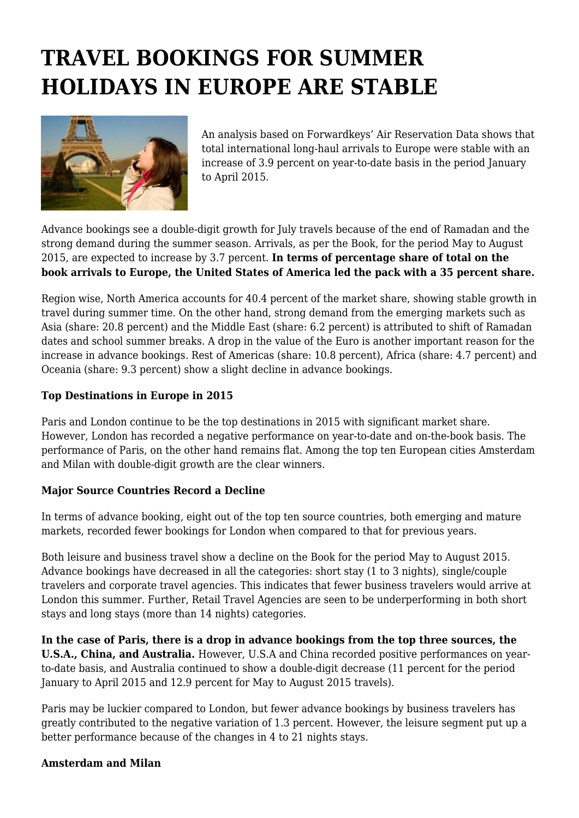## **TRAVEL BOOKINGS FOR SUMMER HOLIDAYS IN EUROPE ARE STABLE**



An analysis based on Forwardkeys' Air Reservation Data shows that total international long-haul arrivals to Europe were stable with an increase of 3.9 percent on year-to-date basis in the period January to April 2015.

Advance bookings see a double-digit growth for July travels because of the end of Ramadan and the strong demand during the summer season. Arrivals, as per the Book, for the period May to August 2015, are expected to increase by 3.7 percent. **In terms of percentage share of total on the book arrivals to Europe, the United States of America led the pack with a 35 percent share.**

Region wise, North America accounts for 40.4 percent of the market share, showing stable growth in travel during summer time. On the other hand, strong demand from the emerging markets such as Asia (share: 20.8 percent) and the Middle East (share: 6.2 percent) is attributed to shift of Ramadan dates and school summer breaks. A drop in the value of the Euro is another important reason for the increase in advance bookings. Rest of Americas (share: 10.8 percent), Africa (share: 4.7 percent) and Oceania (share: 9.3 percent) show a slight decline in advance bookings.

## **Top Destinations in Europe in 2015**

Paris and London continue to be the top destinations in 2015 with significant market share. However, London has recorded a negative performance on year-to-date and on-the-book basis. The performance of Paris, on the other hand remains flat. Among the top ten European cities Amsterdam and Milan with double-digit growth are the clear winners.

## **Major Source Countries Record a Decline**

In terms of advance booking, eight out of the top ten source countries, both emerging and mature markets, recorded fewer bookings for London when compared to that for previous years.

Both leisure and business travel show a decline on the Book for the period May to August 2015. Advance bookings have decreased in all the categories: short stay (1 to 3 nights), single/couple travelers and corporate travel agencies. This indicates that fewer business travelers would arrive at London this summer. Further, Retail Travel Agencies are seen to be underperforming in both short stays and long stays (more than 14 nights) categories.

**In the case of Paris, there is a drop in advance bookings from the top three sources, the U.S.A., China, and Australia.** However, U.S.A and China recorded positive performances on yearto-date basis, and Australia continued to show a double-digit decrease (11 percent for the period January to April 2015 and 12.9 percent for May to August 2015 travels).

Paris may be luckier compared to London, but fewer advance bookings by business travelers has greatly contributed to the negative variation of 1.3 percent. However, the leisure segment put up a better performance because of the changes in 4 to 21 nights stays.

## **Amsterdam and Milan**